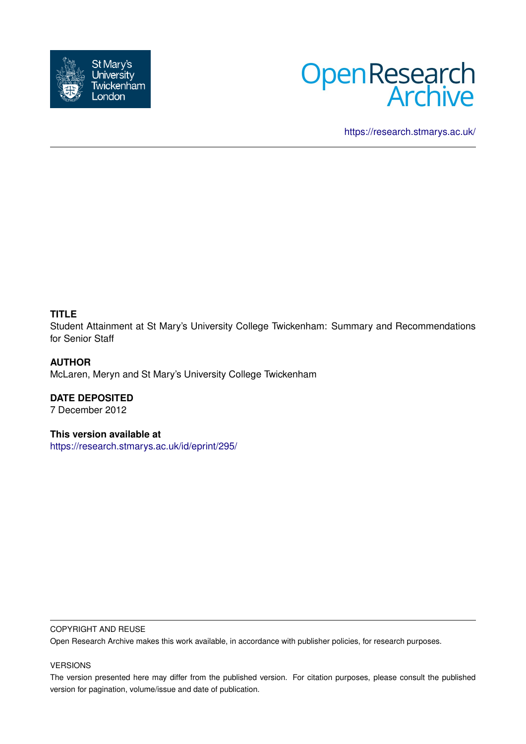



<https://research.stmarys.ac.uk/>

## **TITLE**

Student Attainment at St Mary's University College Twickenham: Summary and Recommendations for Senior Staff

## **AUTHOR**

McLaren, Meryn and St Mary's University College Twickenham

# **DATE DEPOSITED**

7 December 2012

## **This version available at**

<https://research.stmarys.ac.uk/id/eprint/295/>

#### COPYRIGHT AND REUSE

Open Research Archive makes this work available, in accordance with publisher policies, for research purposes.

#### VERSIONS

The version presented here may differ from the published version. For citation purposes, please consult the published version for pagination, volume/issue and date of publication.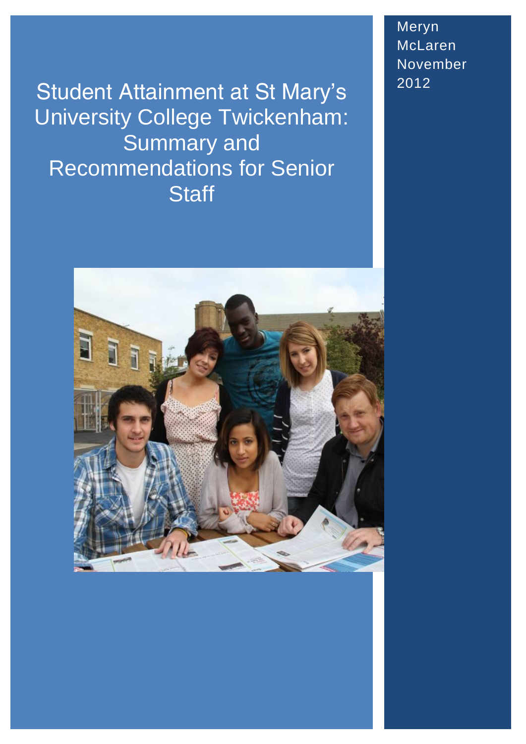Student Attainment at St Mary's University College Twickenham: Summary and Recommendations for Senior **Staff** 



Meryn McLaren November 2012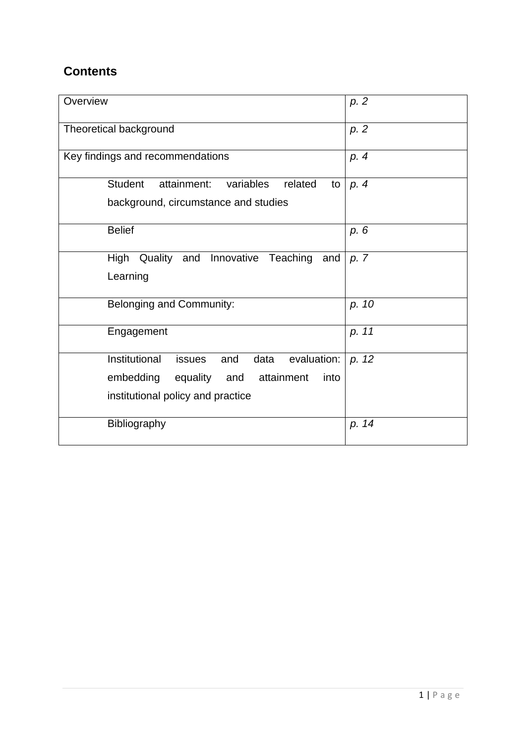# **Contents**

| Overview                                                                                                                                             | p. 2  |
|------------------------------------------------------------------------------------------------------------------------------------------------------|-------|
| Theoretical background                                                                                                                               | p. 2  |
| Key findings and recommendations                                                                                                                     | p. 4  |
| <b>Student</b><br>attainment:<br>variables<br>related<br>to<br>background, circumstance and studies                                                  | p. 4  |
| <b>Belief</b>                                                                                                                                        | p. 6  |
| Quality and<br>Innovative<br>Teaching<br>High<br>and<br>Learning                                                                                     | p. 7  |
| Belonging and Community:                                                                                                                             | p. 10 |
| Engagement                                                                                                                                           | p. 11 |
| Institutional<br>evaluation:<br>and<br>data<br><i>issues</i><br>embedding<br>attainment<br>equality and<br>into<br>institutional policy and practice | p. 12 |
| Bibliography                                                                                                                                         | p. 14 |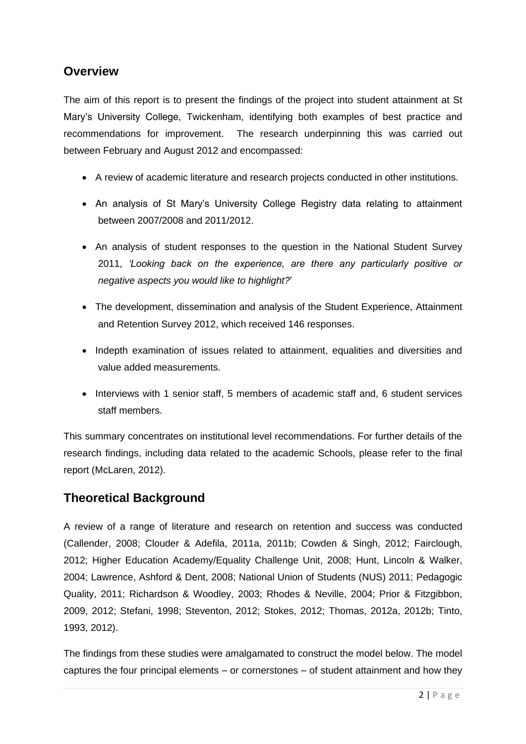## **Overview**

The aim of this report is to present the findings of the project into student attainment at St Mary's University College, Twickenham, identifying both examples of best practice and recommendations for improvement. The research underpinning this was carried out between February and August 2012 and encompassed:

- A review of academic literature and research projects conducted in other institutions.
- An analysis of St Mary's University College Registry data relating to attainment between 2007/2008 and 2011/2012.
- An analysis of student responses to the question in the National Student Survey 2011, *'Looking back on the experience, are there any particularly positive or negative aspects you would like to highlight?*'
- The development, dissemination and analysis of the Student Experience, Attainment and Retention Survey 2012, which received 146 responses.
- Indepth examination of issues related to attainment, equalities and diversities and value added measurements.
- Interviews with 1 senior staff, 5 members of academic staff and, 6 student services staff members.

This summary concentrates on institutional level recommendations. For further details of the research findings, including data related to the academic Schools, please refer to the final report (McLaren, 2012).

## **Theoretical Background**

A review of a range of literature and research on retention and success was conducted (Callender, 2008; Clouder & Adefila, 2011a, 2011b; Cowden & Singh, 2012; Fairclough, 2012; Higher Education Academy/Equality Challenge Unit, 2008; Hunt, Lincoln & Walker, 2004; Lawrence, Ashford & Dent, 2008; National Union of Students (NUS) 2011; Pedagogic Quality, 2011; Richardson & Woodley, 2003; Rhodes & Neville, 2004; Prior & Fitzgibbon, 2009, 2012; Stefani, 1998; Steventon, 2012; Stokes, 2012; Thomas, 2012a, 2012b; Tinto, 1993, 2012).

The findings from these studies were amalgamated to construct the model below. The model captures the four principal elements – or cornerstones – of student attainment and how they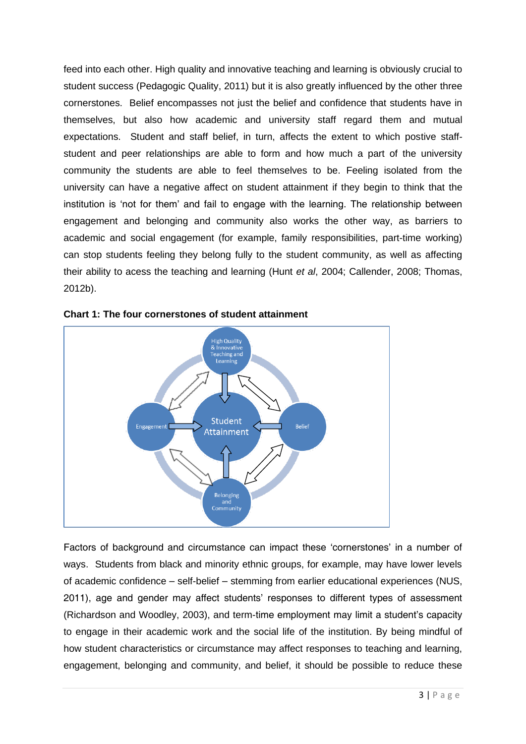feed into each other. High quality and innovative teaching and learning is obviously crucial to student success (Pedagogic Quality, 2011) but it is also greatly influenced by the other three cornerstones. Belief encompasses not just the belief and confidence that students have in themselves, but also how academic and university staff regard them and mutual expectations. Student and staff belief, in turn, affects the extent to which postive staffstudent and peer relationships are able to form and how much a part of the university community the students are able to feel themselves to be. Feeling isolated from the university can have a negative affect on student attainment if they begin to think that the institution is 'not for them' and fail to engage with the learning. The relationship between engagement and belonging and community also works the other way, as barriers to academic and social engagement (for example, family responsibilities, part-time working) can stop students feeling they belong fully to the student community, as well as affecting their ability to acess the teaching and learning (Hunt *et al*, 2004; Callender, 2008; Thomas, 2012b).



**Chart 1: The four cornerstones of student attainment**

Factors of background and circumstance can impact these 'cornerstones' in a number of ways. Students from black and minority ethnic groups, for example, may have lower levels of academic confidence – self-belief – stemming from earlier educational experiences (NUS, 2011), age and gender may affect students' responses to different types of assessment (Richardson and Woodley, 2003), and term-time employment may limit a student's capacity to engage in their academic work and the social life of the institution. By being mindful of how student characteristics or circumstance may affect responses to teaching and learning, engagement, belonging and community, and belief, it should be possible to reduce these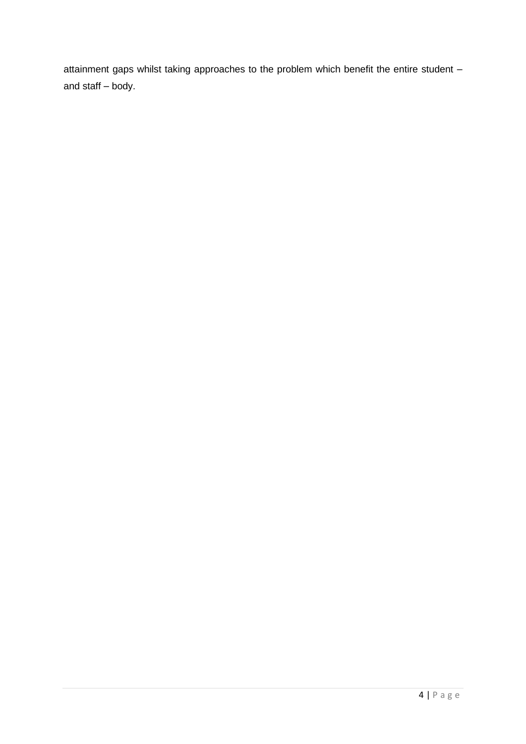attainment gaps whilst taking approaches to the problem which benefit the entire student – and staff – body.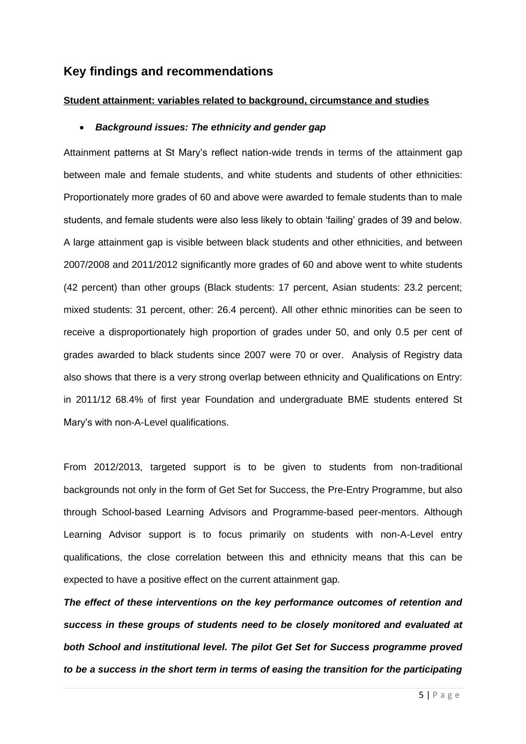## **Key findings and recommendations**

## **Student attainment: variables related to background, circumstance and studies**

#### *Background issues: The ethnicity and gender gap*

Attainment patterns at St Mary's reflect nation-wide trends in terms of the attainment gap between male and female students, and white students and students of other ethnicities: Proportionately more grades of 60 and above were awarded to female students than to male students, and female students were also less likely to obtain 'failing' grades of 39 and below. A large attainment gap is visible between black students and other ethnicities, and between 2007/2008 and 2011/2012 significantly more grades of 60 and above went to white students (42 percent) than other groups (Black students: 17 percent, Asian students: 23.2 percent; mixed students: 31 percent, other: 26.4 percent). All other ethnic minorities can be seen to receive a disproportionately high proportion of grades under 50, and only 0.5 per cent of grades awarded to black students since 2007 were 70 or over. Analysis of Registry data also shows that there is a very strong overlap between ethnicity and Qualifications on Entry: in 2011/12 68.4% of first year Foundation and undergraduate BME students entered St Mary's with non-A-Level qualifications.

From 2012/2013, targeted support is to be given to students from non-traditional backgrounds not only in the form of Get Set for Success, the Pre-Entry Programme, but also through School-based Learning Advisors and Programme-based peer-mentors. Although Learning Advisor support is to focus primarily on students with non-A-Level entry qualifications, the close correlation between this and ethnicity means that this can be expected to have a positive effect on the current attainment gap.

*The effect of these interventions on the key performance outcomes of retention and success in these groups of students need to be closely monitored and evaluated at both School and institutional level. The pilot Get Set for Success programme proved to be a success in the short term in terms of easing the transition for the participating*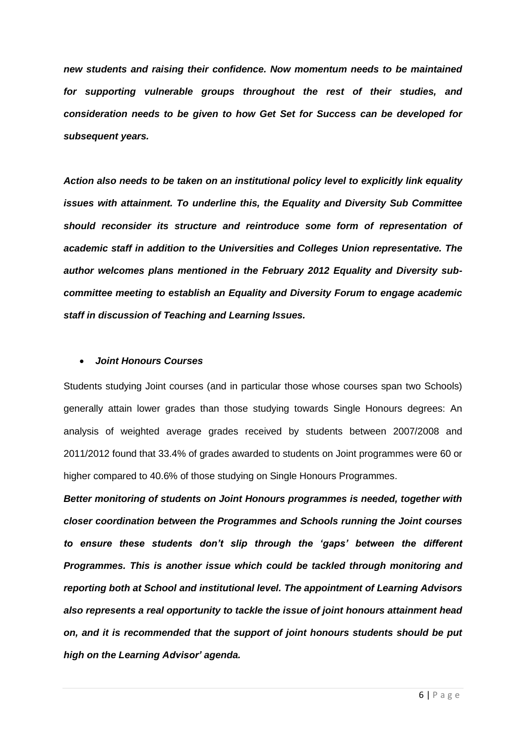*new students and raising their confidence. Now momentum needs to be maintained for supporting vulnerable groups throughout the rest of their studies, and consideration needs to be given to how Get Set for Success can be developed for subsequent years.*

*Action also needs to be taken on an institutional policy level to explicitly link equality issues with attainment. To underline this, the Equality and Diversity Sub Committee should reconsider its structure and reintroduce some form of representation of academic staff in addition to the Universities and Colleges Union representative. The author welcomes plans mentioned in the February 2012 Equality and Diversity subcommittee meeting to establish an Equality and Diversity Forum to engage academic staff in discussion of Teaching and Learning Issues.*

#### *Joint Honours Courses*

Students studying Joint courses (and in particular those whose courses span two Schools) generally attain lower grades than those studying towards Single Honours degrees: An analysis of weighted average grades received by students between 2007/2008 and 2011/2012 found that 33.4% of grades awarded to students on Joint programmes were 60 or higher compared to 40.6% of those studying on Single Honours Programmes.

*Better monitoring of students on Joint Honours programmes is needed, together with closer coordination between the Programmes and Schools running the Joint courses to ensure these students don't slip through the 'gaps' between the different Programmes. This is another issue which could be tackled through monitoring and reporting both at School and institutional level. The appointment of Learning Advisors also represents a real opportunity to tackle the issue of joint honours attainment head on, and it is recommended that the support of joint honours students should be put high on the Learning Advisor' agenda.*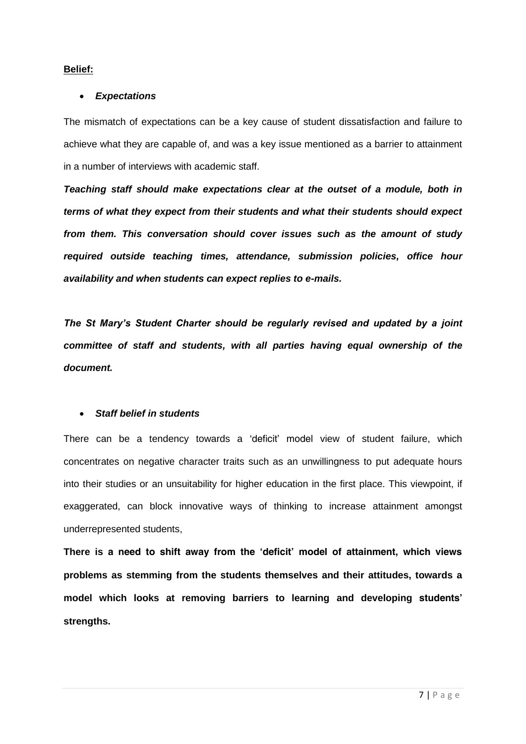## **Belief:**

## *Expectations*

The mismatch of expectations can be a key cause of student dissatisfaction and failure to achieve what they are capable of, and was a key issue mentioned as a barrier to attainment in a number of interviews with academic staff.

*Teaching staff should make expectations clear at the outset of a module, both in terms of what they expect from their students and what their students should expect from them. This conversation should cover issues such as the amount of study required outside teaching times, attendance, submission policies, office hour availability and when students can expect replies to e-mails.* 

*The St Mary's Student Charter should be regularly revised and updated by a joint committee of staff and students, with all parties having equal ownership of the document.* 

## *Staff belief in students*

There can be a tendency towards a 'deficit' model view of student failure, which concentrates on negative character traits such as an unwillingness to put adequate hours into their studies or an unsuitability for higher education in the first place. This viewpoint, if exaggerated, can block innovative ways of thinking to increase attainment amongst underrepresented students,

**There is a need to shift away from the 'deficit' model of attainment, which views problems as stemming from the students themselves and their attitudes, towards a model which looks at removing barriers to learning and developing students' strengths.**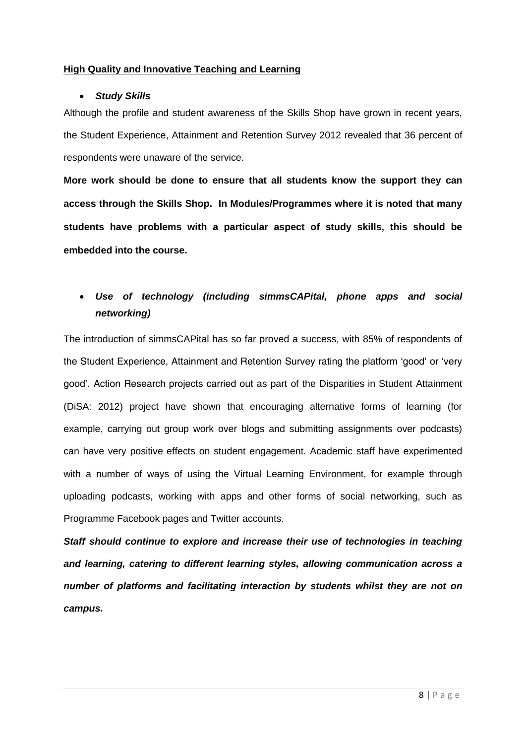## **High Quality and Innovative Teaching and Learning**

## *Study Skills*

Although the profile and student awareness of the Skills Shop have grown in recent years, the Student Experience, Attainment and Retention Survey 2012 revealed that 36 percent of respondents were unaware of the service.

**More work should be done to ensure that all students know the support they can access through the Skills Shop. In Modules/Programmes where it is noted that many students have problems with a particular aspect of study skills, this should be embedded into the course.**

## *Use of technology (including simmsCAPital, phone apps and social networking)*

The introduction of simmsCAPital has so far proved a success, with 85% of respondents of the Student Experience, Attainment and Retention Survey rating the platform 'good' or 'very good'. Action Research projects carried out as part of the Disparities in Student Attainment (DiSA: 2012) project have shown that encouraging alternative forms of learning (for example, carrying out group work over blogs and submitting assignments over podcasts) can have very positive effects on student engagement. Academic staff have experimented with a number of ways of using the Virtual Learning Environment, for example through uploading podcasts, working with apps and other forms of social networking, such as Programme Facebook pages and Twitter accounts.

*Staff should continue to explore and increase their use of technologies in teaching and learning, catering to different learning styles, allowing communication across a number of platforms and facilitating interaction by students whilst they are not on campus.*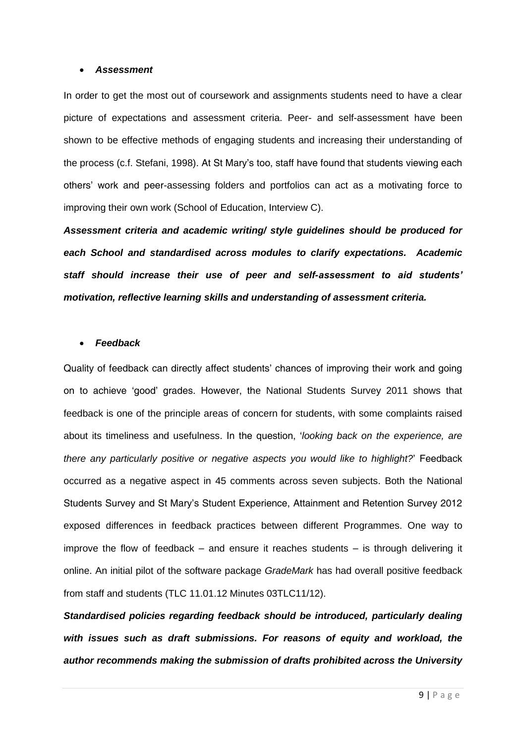#### *Assessment*

In order to get the most out of coursework and assignments students need to have a clear picture of expectations and assessment criteria. Peer- and self-assessment have been shown to be effective methods of engaging students and increasing their understanding of the process (c.f. Stefani, 1998). At St Mary's too, staff have found that students viewing each others' work and peer-assessing folders and portfolios can act as a motivating force to improving their own work (School of Education, Interview C).

*Assessment criteria and academic writing/ style guidelines should be produced for each School and standardised across modules to clarify expectations. Academic staff should increase their use of peer and self-assessment to aid students' motivation, reflective learning skills and understanding of assessment criteria.*

## *Feedback*

Quality of feedback can directly affect students' chances of improving their work and going on to achieve 'good' grades. However, the National Students Survey 2011 shows that feedback is one of the principle areas of concern for students, with some complaints raised about its timeliness and usefulness. In the question, '*looking back on the experience, are there any particularly positive or negative aspects you would like to highlight?*' Feedback occurred as a negative aspect in 45 comments across seven subjects. Both the National Students Survey and St Mary's Student Experience, Attainment and Retention Survey 2012 exposed differences in feedback practices between different Programmes. One way to improve the flow of feedback – and ensure it reaches students – is through delivering it online. An initial pilot of the software package *GradeMark* has had overall positive feedback from staff and students (TLC 11.01.12 Minutes 03TLC11/12).

*Standardised policies regarding feedback should be introduced, particularly dealing with issues such as draft submissions. For reasons of equity and workload, the author recommends making the submission of drafts prohibited across the University*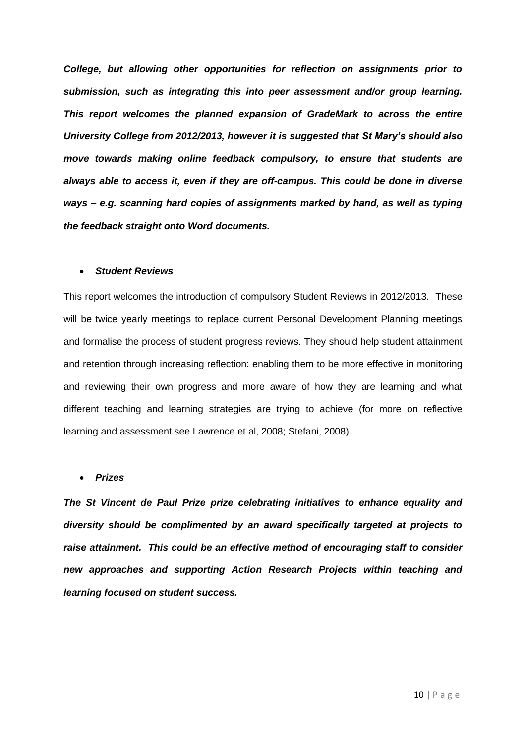*College, but allowing other opportunities for reflection on assignments prior to submission, such as integrating this into peer assessment and/or group learning. This report welcomes the planned expansion of GradeMark to across the entire University College from 2012/2013, however it is suggested that St Mary's should also move towards making online feedback compulsory, to ensure that students are always able to access it, even if they are off-campus. This could be done in diverse ways – e.g. scanning hard copies of assignments marked by hand, as well as typing the feedback straight onto Word documents.*

#### *Student Reviews*

This report welcomes the introduction of compulsory Student Reviews in 2012/2013. These will be twice yearly meetings to replace current Personal Development Planning meetings and formalise the process of student progress reviews. They should help student attainment and retention through increasing reflection: enabling them to be more effective in monitoring and reviewing their own progress and more aware of how they are learning and what different teaching and learning strategies are trying to achieve (for more on reflective learning and assessment see Lawrence et al, 2008; Stefani, 2008).

#### *Prizes*

*The St Vincent de Paul Prize prize celebrating initiatives to enhance equality and diversity should be complimented by an award specifically targeted at projects to raise attainment. This could be an effective method of encouraging staff to consider new approaches and supporting Action Research Projects within teaching and learning focused on student success.*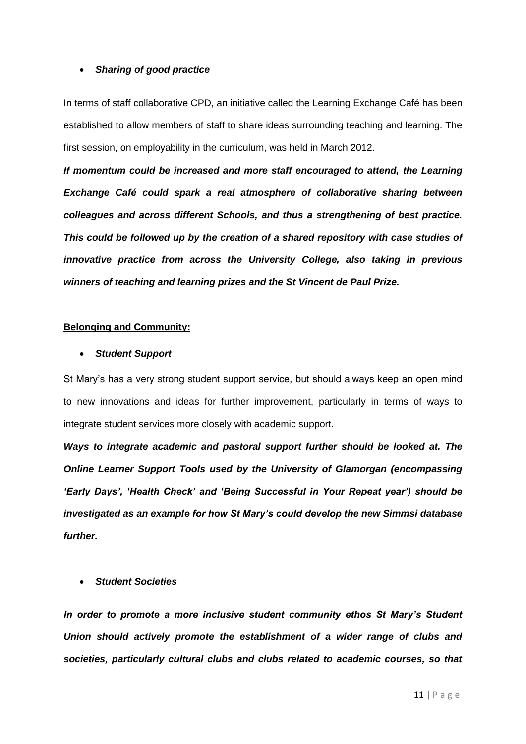#### *Sharing of good practice*

In terms of staff collaborative CPD, an initiative called the Learning Exchange Café has been established to allow members of staff to share ideas surrounding teaching and learning. The first session, on employability in the curriculum, was held in March 2012.

*If momentum could be increased and more staff encouraged to attend, the Learning Exchange Café could spark a real atmosphere of collaborative sharing between colleagues and across different Schools, and thus a strengthening of best practice. This could be followed up by the creation of a shared repository with case studies of innovative practice from across the University College, also taking in previous winners of teaching and learning prizes and the St Vincent de Paul Prize.*

## **Belonging and Community:**

## *Student Support*

St Mary's has a very strong student support service, but should always keep an open mind to new innovations and ideas for further improvement, particularly in terms of ways to integrate student services more closely with academic support.

*Ways to integrate academic and pastoral support further should be looked at. The Online Learner Support Tools used by the University of Glamorgan (encompassing 'Early Days', 'Health Check' and 'Being Successful in Your Repeat year') should be investigated as an example for how St Mary's could develop the new Simmsi database further.* 

## *Student Societies*

*In order to promote a more inclusive student community ethos St Mary's Student Union should actively promote the establishment of a wider range of clubs and societies, particularly cultural clubs and clubs related to academic courses, so that*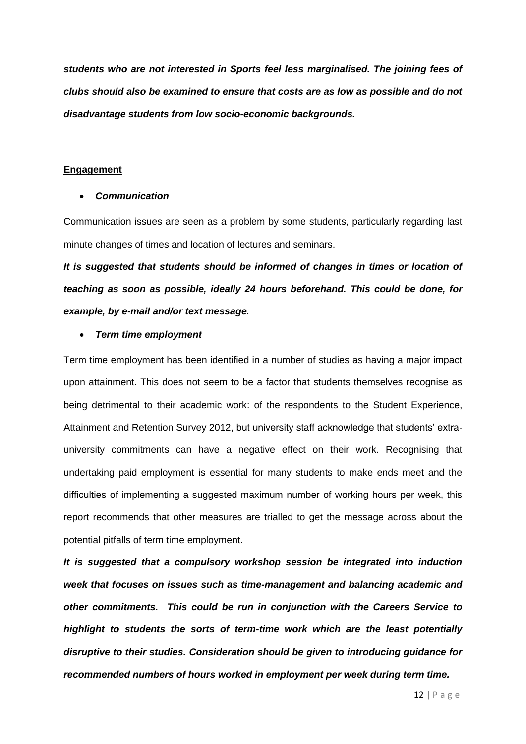*students who are not interested in Sports feel less marginalised. The joining fees of clubs should also be examined to ensure that costs are as low as possible and do not disadvantage students from low socio-economic backgrounds.*

## **Engagement**

#### *Communication*

Communication issues are seen as a problem by some students, particularly regarding last minute changes of times and location of lectures and seminars.

*It is suggested that students should be informed of changes in times or location of teaching as soon as possible, ideally 24 hours beforehand. This could be done, for example, by e-mail and/or text message.*

## *Term time employment*

Term time employment has been identified in a number of studies as having a major impact upon attainment. This does not seem to be a factor that students themselves recognise as being detrimental to their academic work: of the respondents to the Student Experience, Attainment and Retention Survey 2012, but university staff acknowledge that students' extrauniversity commitments can have a negative effect on their work. Recognising that undertaking paid employment is essential for many students to make ends meet and the difficulties of implementing a suggested maximum number of working hours per week, this report recommends that other measures are trialled to get the message across about the potential pitfalls of term time employment.

*It is suggested that a compulsory workshop session be integrated into induction week that focuses on issues such as time-management and balancing academic and other commitments. This could be run in conjunction with the Careers Service to highlight to students the sorts of term-time work which are the least potentially disruptive to their studies. Consideration should be given to introducing guidance for recommended numbers of hours worked in employment per week during term time.*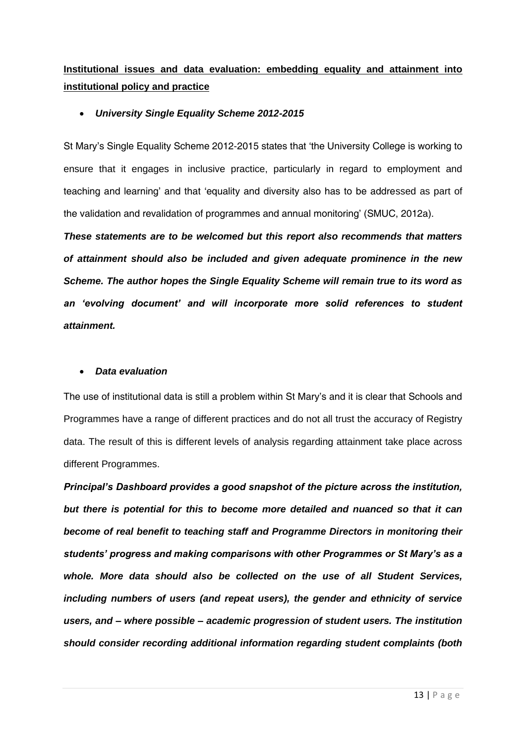**Institutional issues and data evaluation: embedding equality and attainment into institutional policy and practice**

## *University Single Equality Scheme 2012-2015*

St Mary's Single Equality Scheme 2012-2015 states that 'the University College is working to ensure that it engages in inclusive practice, particularly in regard to employment and teaching and learning' and that 'equality and diversity also has to be addressed as part of the validation and revalidation of programmes and annual monitoring' (SMUC, 2012a).

*These statements are to be welcomed but this report also recommends that matters of attainment should also be included and given adequate prominence in the new Scheme. The author hopes the Single Equality Scheme will remain true to its word as an 'evolving document' and will incorporate more solid references to student attainment.* 

## *Data evaluation*

The use of institutional data is still a problem within St Mary's and it is clear that Schools and Programmes have a range of different practices and do not all trust the accuracy of Registry data. The result of this is different levels of analysis regarding attainment take place across different Programmes.

*Principal's Dashboard provides a good snapshot of the picture across the institution, but there is potential for this to become more detailed and nuanced so that it can become of real benefit to teaching staff and Programme Directors in monitoring their students' progress and making comparisons with other Programmes or St Mary's as a whole. More data should also be collected on the use of all Student Services, including numbers of users (and repeat users), the gender and ethnicity of service users, and – where possible – academic progression of student users. The institution should consider recording additional information regarding student complaints (both*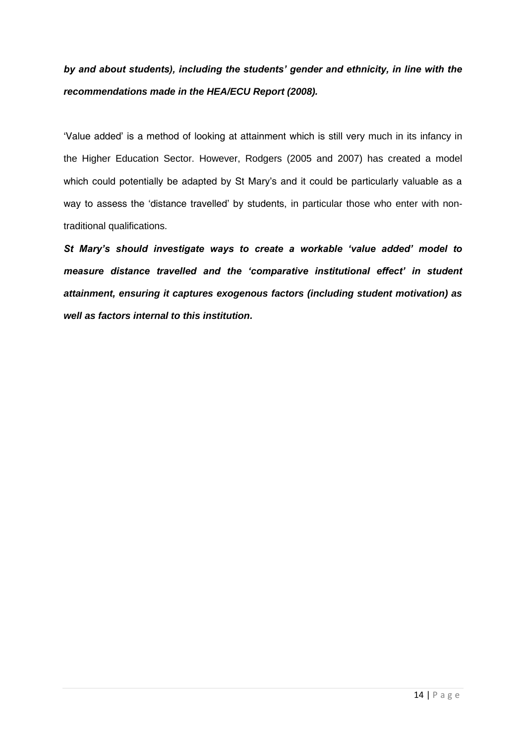*by and about students), including the students' gender and ethnicity, in line with the recommendations made in the HEA/ECU Report (2008).*

'Value added' is a method of looking at attainment which is still very much in its infancy in the Higher Education Sector. However, Rodgers (2005 and 2007) has created a model which could potentially be adapted by St Mary's and it could be particularly valuable as a way to assess the 'distance travelled' by students, in particular those who enter with nontraditional qualifications.

*St Mary's should investigate ways to create a workable 'value added' model to measure distance travelled and the 'comparative institutional effect' in student attainment, ensuring it captures exogenous factors (including student motivation) as well as factors internal to this institution.*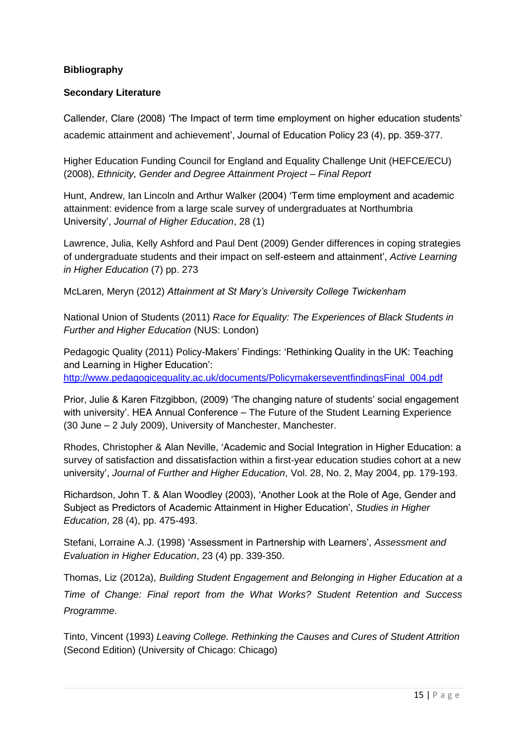## **Bibliography**

## **Secondary Literature**

Callender, Clare (2008) 'The Impact of term time employment on higher education students' academic attainment and achievement', Journal of Education Policy 23 (4), pp. 359-377.

Higher Education Funding Council for England and Equality Challenge Unit (HEFCE/ECU) (2008), *Ethnicity, Gender and Degree Attainment Project – Final Report*

Hunt, Andrew, Ian Lincoln and Arthur Walker (2004) 'Term time employment and academic attainment: evidence from a large scale survey of undergraduates at Northumbria University', *Journal of Higher Education*, 28 (1)

Lawrence, Julia, Kelly Ashford and Paul Dent (2009) Gender differences in coping strategies of undergraduate students and their impact on self-esteem and attainment', *Active Learning in Higher Education* (7) pp. 273

McLaren, Meryn (2012) *Attainment at St Mary's University College Twickenham*

National Union of Students (2011) *Race for Equality: The Experiences of Black Students in Further and Higher Education* (NUS: London)

Pedagogic Quality (2011) Policy-Makers' Findings: 'Rethinking Quality in the UK: Teaching and Learning in Higher Education':

[http://www.pedagogicequality.ac.uk/documents/PolicymakerseventfindingsFinal\\_004.pdf](http://www.pedagogicequality.ac.uk/documents/PolicymakerseventfindingsFinal_004.pdf)

Prior, Julie & Karen Fitzgibbon, (2009) 'The changing nature of students' social engagement with university'. HEA Annual Conference – The Future of the Student Learning Experience (30 June – 2 July 2009), University of Manchester, Manchester.

Rhodes, Christopher & Alan Neville, 'Academic and Social Integration in Higher Education: a survey of satisfaction and dissatisfaction within a first-year education studies cohort at a new university', *Journal of Further and Higher Education*, Vol. 28, No. 2, May 2004, pp. 179-193.

Richardson, John T. & Alan Woodley (2003), 'Another Look at the Role of Age, Gender and Subject as Predictors of Academic Attainment in Higher Education', *Studies in Higher Education*, 28 (4), pp. 475-493.

Stefani, Lorraine A.J. (1998) 'Assessment in Partnership with Learners', *Assessment and Evaluation in Higher Education*, 23 (4) pp. 339-350.

Thomas, Liz (2012a), *Building Student Engagement and Belonging in Higher Education at a Time of Change: Final report from the What Works? Student Retention and Success Programme*.

Tinto, Vincent (1993) *Leaving College. Rethinking the Causes and Cures of Student Attrition* (Second Edition) (University of Chicago: Chicago)